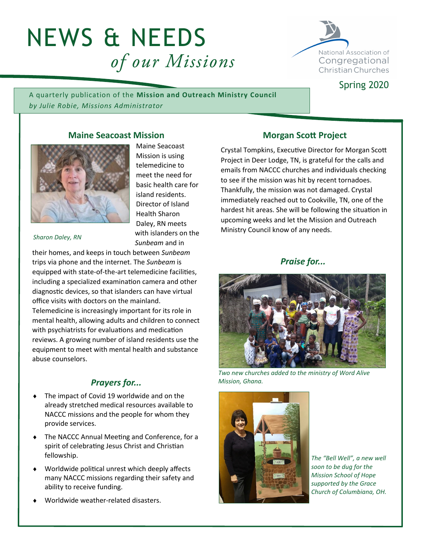# NEWS & NEEDS of our Missions



Spring 2020

A quarterly publication of the **Mission and Outreach Ministry Council** *by Julie Robie, Missions Administrator*

# **Maine Seacoast Mission**



Maine Seacoast Mission is using telemedicine to meet the need for basic health care for island residents. Director of Island Health Sharon Daley, RN meets with islanders on the *Sunbeam* and in

*Sharon Daley, RN*

their homes, and keeps in touch between *Sunbeam* trips via phone and the internet. The *Sunbeam* is equipped with state-of-the-art telemedicine facilities, including a specialized examination camera and other diagnostic devices, so that islanders can have virtual office visits with doctors on the mainland. Telemedicine is increasingly important for its role in mental health, allowing adults and children to connect

with psychiatrists for evaluations and medication reviews. A growing number of island residents use the equipment to meet with mental health and substance abuse counselors.

# *Prayers for...*

- The impact of Covid 19 worldwide and on the already stretched medical resources available to NACCC missions and the people for whom they provide services.
- The NACCC Annual Meeting and Conference, for a spirit of celebrating Jesus Christ and Christian fellowship.
- Worldwide political unrest which deeply affects many NACCC missions regarding their safety and ability to receive funding.
- Worldwide weather-related disasters.

### **Morgan Scott Project**

Crystal Tompkins, Executive Director for Morgan Scott Project in Deer Lodge, TN, is grateful for the calls and emails from NACCC churches and individuals checking to see if the mission was hit by recent tornadoes. Thankfully, the mission was not damaged. Crystal immediately reached out to Cookville, TN, one of the hardest hit areas. She will be following the situation in upcoming weeks and let the Mission and Outreach Ministry Council know of any needs.

## *Praise for...*



*Two new churches added to the ministry of Word Alive Mission, Ghana.*



*The "Bell Well", a new well soon to be dug for the Mission School of Hope supported by the Grace Church of Columbiana, OH.*